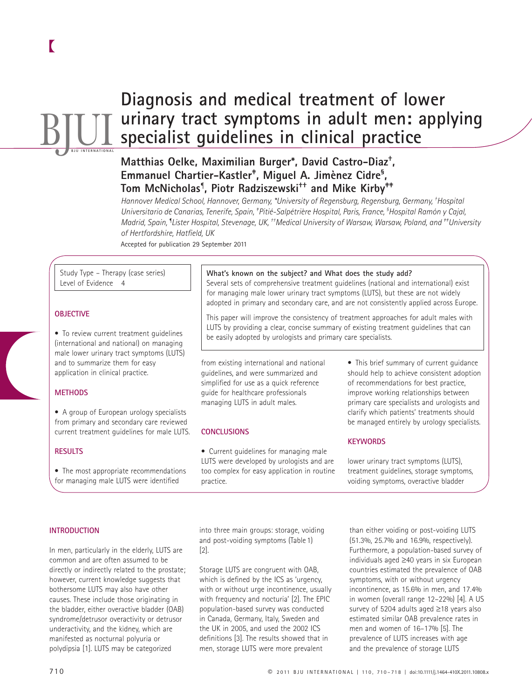# **BJUL Diagnosis and medical treatment of lower urinary tract symptoms in adult men: applying specialist guidelines in clinical practice**

## Matthias Oelke, Maximilian Burger\*, David Castro-Diaz<sup>+</sup>, Emmanuel Chartier-Kastler<sup>+</sup>, Miguel A. Jimènez Cidre<sup>s</sup>, **Tom McNicholas ¶ , Piotr Radziszewski †† and Mike Kirby ‡‡**

 *Hannover Medical School, Hannover, Germany, \* University of Regensburg, Regensburg, Germany , † Hospital Universitario de Canarias, Tenerife, Spain, <sup>\*</sup> Pitié-Salpétrière Hospital, Paris, France, <sup>§</sup> Hospital Ramón y Cajal, Madrid, Spain , ¶ Lister Hospital, Stevenage, UK , † † Medical University of Warsaw, Warsaw, Poland , and ‡ ‡ University*  of Hertfordshire, Hatfield, UK

Accepted for publication 29 September 2011

 Study Type – Therapy (case series) Level of Evidence 4

## **OBJECTIVE**

 • To review current treatment guidelines (international and national) on managing male lower urinary tract symptoms (LUTS) and to summarize them for easy application in clinical practice.

#### **METHODS**

 • A group of European urology specialists from primary and secondary care reviewed current treatment guidelines for male LUTS.

#### **RESULTS**

 • The most appropriate recommendations for managing male LUTS were identified

#### What's known on the subject? and What does the study add?

 Several sets of comprehensive treatment guidelines (national and international) exist for managing male lower urinary tract symptoms (LUTS), but these are not widely adopted in primary and secondary care, and are not consistently applied across Europe.

 This paper will improve the consistency of treatment approaches for adult males with LUTS by providing a clear, concise summary of existing treatment guidelines that can be easily adopted by urologists and primary care specialists.

from existing international and national guidelines, and were summarized and simplified for use as a quick reference guide for healthcare professionals managing LUTS in adult males.

#### **CONCLUSIONS**

 • Current guidelines for managing male LUTS were developed by urologists and are too complex for easy application in routine practice.

 • This brief summary of current guidance should help to achieve consistent adoption of recommendations for best practice, improve working relationships between primary care specialists and urologists and clarify which patients' treatments should be managed entirely by urology specialists.

#### **KEYWORDS**

lower urinary tract symptoms (LUTS), treatment quidelines, storage symptoms, voiding symptoms, overactive bladder

#### **INTRODUCTION**

 In men, particularly in the elderly, LUTS are common and are often assumed to be directly or indirectly related to the prostate; however, current knowledge suggests that bothersome LUTS may also have other causes. These include those originating in the bladder, either overactive bladder (OAB) syndrome/detrusor overactivity or detrusor underactivity, and the kidney, which are manifested as nocturnal polyuria or polydipsia [1]. LUTS may be categorized

into three main groups: storage, voiding and post-voiding symptoms (Table 1)  $[2]$ .

 Storage LUTS are congruent with OAB, which is defined by the ICS as 'urgency, with or without urge incontinence, usually with frequency and nocturia' [2]. The EPIC population-based survey was conducted in Canada, Germany, Italy, Sweden and the UK in 2005, and used the 2002 ICS definitions [3]. The results showed that in men, storage LUTS were more prevalent

than either voiding or post-voiding LUTS (51.3%, 25.7% and 16.9%, respectively). Furthermore, a population-based survey of individuals aged ≥ 40 years in six European countries estimated the prevalence of OAB symptoms, with or without urgency incontinence, as 15.6% in men, and 17.4% in women (overall range 12-22%) [4]. A US survey of 5204 adults aged ≥18 years also estimated similar OAB prevalence rates in men and women of 16-17% [5]. The prevalence of LUTS increases with age and the prevalence of storage LUTS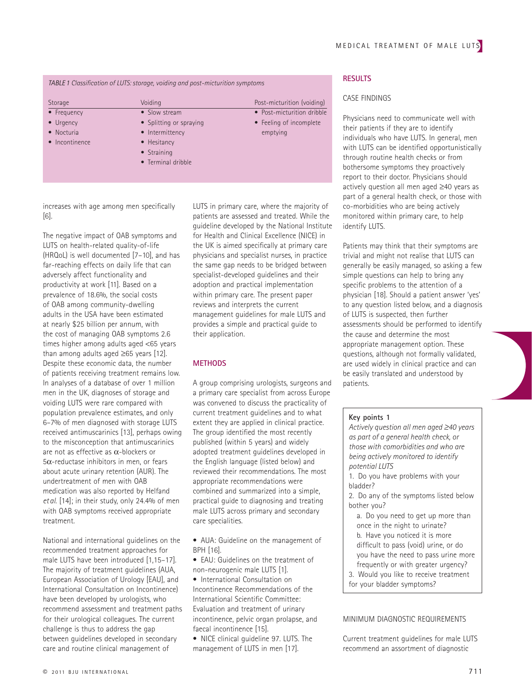## *TABLE 1 Classifi cation of LUTS: storage, voiding and post-micturition symptoms*

| Storage           | Voiding                 | Post-micturition (voiding) |
|-------------------|-------------------------|----------------------------|
| • Frequency       | • Slow stream           | • Post-micturition dribble |
| $\bullet$ Urgency | • Splitting or spraying | • Feeling of incomplete    |
| • Nocturia        | • Intermittency         | emptying                   |
| • Incontinence    | • Hesitancy             |                            |
|                   | • Straining             |                            |
|                   | • Terminal dribble      |                            |

increases with age among men specifically  $[6]$ .

 The negative impact of OAB symptoms and LUTS on health-related quality-of-life (HRQoL) is well documented  $[7-10]$ , and has far-reaching effects on daily life that can adversely affect functionality and productivity at work [11]. Based on a prevalence of 18.6%, the social costs of OAB among community-dwelling adults in the USA have been estimated at nearly \$25 billion per annum, with the cost of managing OAB symptoms 2.6 times higher among adults aged < 65 years than among adults aged  $≥65$  years [12]. Despite these economic data, the number of patients receiving treatment remains low. In analyses of a database of over 1 million men in the UK, diagnoses of storage and voiding LUTS were rare compared with population prevalence estimates, and only 6 – 7% of men diagnosed with storage LUTS received antimuscarinics [13], perhaps owing to the misconception that antimuscarinics are not as effective as  $\alpha$ -blockers or  $5\alpha$ -reductase inhibitors in men, or fears about acute urinary retention (AUR). The undertreatment of men with OAB medication was also reported by Helfand *et al.* [14]; in their study, only 24.4% of men with OAB symptoms received appropriate treatment.

 National and international guidelines on the recommended treatment approaches for male LUTS have been introduced [1,15-17]. The majority of treatment guidelines (AUA, European Association of Urology [EAU], and International Consultation on Incontinence) have been developed by urologists, who recommend assessment and treatment paths for their urological colleagues. The current challenge is thus to address the gap between guidelines developed in secondary care and routine clinical management of

LUTS in primary care, where the majority of patients are assessed and treated. While the guideline developed by the National Institute for Health and Clinical Excellence (NICE) in the UK is aimed specifically at primary care physicians and specialist nurses, in practice the same gap needs to be bridged between specialist-developed guidelines and their adoption and practical implementation within primary care. The present paper reviews and interprets the current management guidelines for male LUTS and provides a simple and practical guide to their application.

#### **METHODS**

 A group comprising urologists, surgeons and a primary care specialist from across Europe was convened to discuss the practicality of current treatment guidelines and to what extent they are applied in clinical practice. The group identified the most recently published (within 5 years) and widely adopted treatment guidelines developed in the English language (listed below) and reviewed their recommendations. The most appropriate recommendations were combined and summarized into a simple, practical guide to diagnosing and treating male LUTS across primary and secondary care specialities.

- AUA: Guideline on the management of  $RPH$   $[16]$
- EAU: Guidelines on the treatment of non-neurogenic male LUTS [1].
- International Consultation on Incontinence Recommendations of the International Scientific Committee: Evaluation and treatment of urinary incontinence, pelvic organ prolapse, and faecal incontinence [15].
- NICE clinical quideline 97. LUTS. The management of LUTS in men [17].

## **RESULTS**

## CASE FINDINGS

 Physicians need to communicate well with their patients if they are to identify individuals who have LUTS. In general, men with LUTS can be identified opportunistically through routine health checks or from bothersome symptoms they proactively report to their doctor. Physicians should actively question all men aged ≥40 years as part of a general health check, or those with co-morbidities who are being actively monitored within primary care, to help identify LUTS.

 Patients may think that their symptoms are trivial and might not realise that LUTS can generally be easily managed, so asking a few simple questions can help to bring any specific problems to the attention of a physician [18]. Should a patient answer 'yes' to any question listed below, and a diagnosis of LUTS is suspected, then further assessments should be performed to identify the cause and determine the most appropriate management option. These questions, although not formally validated, are used widely in clinical practice and can be easily translated and understood by patients.

#### **Key points 1**

*Actively question all men aged ≥ 40 years as part of a general health check, or those with comorbidities and who are being actively monitored to identify potential LUTS*

- 1. Do you have problems with your bladder?
- 2. Do any of the symptoms listed below bother you?
	- a. Do you need to get up more than once in the night to urinate? b. Have you noticed it is more difficult to pass (void) urine, or do you have the need to pass urine more frequently or with greater urgency?
- 3. Would you like to receive treatment
- for your bladder symptoms?

#### MINIMUM DIAGNOSTIC REQUIREMENTS

 Current treatment guidelines for male LUTS recommend an assortment of diagnostic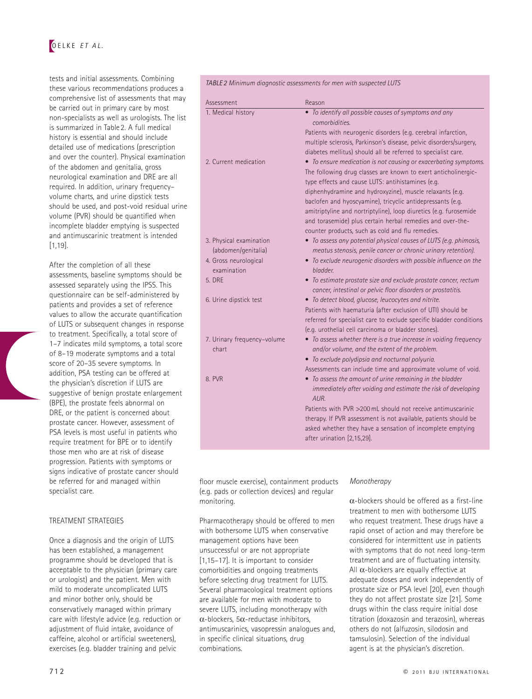## OELKE *ET AL.*

tests and initial assessments. Combining these various recommendations produces a comprehensive list of assessments that may be carried out in primary care by most non-specialists as well as urologists. The list is summarized in Table 2. A full medical history is essential and should include detailed use of medications (prescription and over the counter). Physical examination of the abdomen and genitalia, gross neurological examination and DRE are all required. In addition, urinary frequency volume charts, and urine dipstick tests should be used, and post-void residual urine volume (PVR) should be quantified when incomplete bladder emptying is suspected and antimuscarinic treatment is intended  $[1.19]$ 

 After the completion of all these assessments, baseline symptoms should be assessed separately using the IPSS. This questionnaire can be self-administered by patients and provides a set of reference values to allow the accurate quantification of LUTS or subsequent changes in response to treatment. Specifically, a total score of 1-7 indicates mild symptoms, a total score of 8-19 moderate symptoms and a total score of 20-35 severe symptoms. In addition, PSA testing can be offered at the physician's discretion if LUTS are suggestive of benign prostate enlargement (BPE), the prostate feels abnormal on DRE, or the patient is concerned about prostate cancer. However, assessment of PSA levels is most useful in patients who require treatment for BPE or to identify those men who are at risk of disease progression. Patients with symptoms or signs indicative of prostate cancer should be referred for and managed within specialist care.

#### TREATMENT STRATEGIES

 Once a diagnosis and the origin of LUTS has been established, a management programme should be developed that is acceptable to the physician (primary care or urologist) and the patient. Men with mild to moderate uncomplicated LUTS and minor bother only, should be conservatively managed within primary care with lifestyle advice (e.g. reduction or adjustment of fluid intake, avoidance of caffeine, alcohol or artificial sweeteners). exercises (e.g. bladder training and pelvic

#### *TABLE 2 Minimum diagnostic assessments for men with suspected LUTS*

| Assessment                  | Reason                                                                                                                             |
|-----------------------------|------------------------------------------------------------------------------------------------------------------------------------|
| 1. Medical history          | • To identify all possible causes of symptoms and any<br>comorbidities.                                                            |
|                             | Patients with neurogenic disorders (e.g. cerebral infarction,                                                                      |
|                             | multiple sclerosis, Parkinson's disease, pelvic disorders/surgery,                                                                 |
|                             | diabetes mellitus) should all be referred to specialist care.                                                                      |
| 2. Current medication       | • To ensure medication is not causing or exacerbating symptoms.<br>The following drug classes are known to exert anticholinergic-  |
|                             | type effects and cause LUTS: antihistamines (e.g.                                                                                  |
|                             | diphenhydramine and hydroxyzine), muscle relaxants (e.g.                                                                           |
|                             | baclofen and hyoscyamine), tricyclic antidepressants (e.g.                                                                         |
|                             | amitriptyline and nortriptyline), loop diuretics (e.g. furosemide                                                                  |
|                             | and torasemide) plus certain herbal remedies and over-the-                                                                         |
| 3. Physical examination     | counter products, such as cold and flu remedies.<br>• To assess any potential physical causes of LUTS (e.g. phimosis,              |
| (abdomen/genitalia)         | meatus stenosis, penile cancer or chronic urinary retention).                                                                      |
| 4. Gross neurological       | • To exclude neurogenic disorders with possible influence on the                                                                   |
| examination                 | bladder.                                                                                                                           |
| 5. DRE                      | • To estimate prostate size and exclude prostate cancer, rectum                                                                    |
|                             | cancer, intestinal or pelvic floor disorders or prostatitis.                                                                       |
| 6. Urine dipstick test      | • To detect blood, glucose, leucocytes and nitrite.                                                                                |
|                             | Patients with haematuria (after exclusion of UTI) should be<br>referred for specialist care to exclude specific bladder conditions |
|                             | (e.g. urothelial cell carcinoma or bladder stones).                                                                                |
| 7. Urinary frequency-volume | • To assess whether there is a true increase in voiding frequency                                                                  |
| chart                       | and/or volume, and the extent of the problem.                                                                                      |
|                             | • To exclude polydipsia and nocturnal polyuria.                                                                                    |
|                             | Assessments can include time and approximate volume of void.                                                                       |
| 8. PVR                      | • To assess the amount of urine remaining in the bladder<br>immediately after voiding and estimate the risk of developing<br>AUR.  |
|                             | Patients with PVR >200 mL should not receive antimuscarinic                                                                        |
|                             | therapy. If PVR assessment is not available, patients should be                                                                    |
|                             | asked whether they have a sensation of incomplete emptying                                                                         |
|                             | after urination [2,15,29].                                                                                                         |

floor muscle exercise), containment products (e.g. pads or collection devices) and regular monitoring.

 Pharmacotherapy should be offered to men with bothersome LUTS when conservative management options have been unsuccessful or are not appropriate [1,15-17]. It is important to consider comorbidities and ongoing treatments before selecting drug treatment for LUTS. Several pharmacological treatment options are available for men with moderate to severe LUTS, including monotherapy with  $\alpha$ -blockers, 5 $\alpha$ -reductase inhibitors, antimuscarinics, vasopressin analogues and, in specific clinical situations, drug combinations.

#### *Monotherapy*

 $\alpha$ -blockers should be offered as a first-line treatment to men with bothersome LUTS who request treatment. These drugs have a rapid onset of action and may therefore be considered for intermittent use in patients with symptoms that do not need long-term treatment and are of fluctuating intensity. All  $\alpha$ -blockers are equally effective at adequate doses and work independently of prostate size or PSA level [20], even though they do not affect prostate size [21]. Some drugs within the class require initial dose titration (doxazosin and terazosin), whereas others do not (alfuzosin, silodosin and tamsulosin). Selection of the individual agent is at the physician's discretion.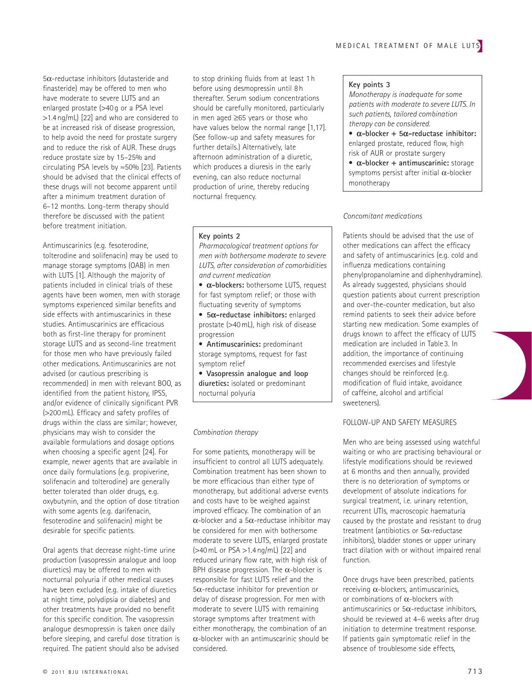5 α -reductase inhibitors (dutasteride and finasteride) may be offered to men who have moderate to severe LUTS and an enlarged prostate (>40 g or a PSA level  $> 1.4$  ng/mL) [22] and who are considered to be at increased risk of disease progression, to help avoid the need for prostate surgery and to reduce the risk of AUR. These drugs reduce prostate size by 15-25% and circulating PSA levels by ≈ 50% [ 23 ] . Patients should be advised that the clinical effects of these drugs will not become apparent until after a minimum treatment duration of 6 – 12 months. Long-term therapy should therefore be discussed with the patient before treatment initiation.

 Antimuscarinics (e.g. fesoterodine, tolterodine and solifenacin) may be used to manage storage symptoms (OAB) in men with LUTS [1]. Although the majority of patients included in clinical trials of these agents have been women, men with storage symptoms experienced similar benefits and side effects with antimuscarinics in these studies. Antimuscarinics are efficacious both as first-line therapy for prominent storage LUTS and as second-line treatment for those men who have previously failed other medications. Antimuscarinics are not advised (or cautious prescribing is recommended) in men with relevant BOO, as identified from the patient history, IPSS, and/or evidence of clinically significant PVR (>200 mL). Efficacy and safety profiles of drugs within the class are similar; however, physicians may wish to consider the available formulations and dosage options when choosing a specific agent [24]. For example, newer agents that are available in once daily formulations (e.g. propiverine, solifenacin and tolterodine) are generally better tolerated than older drugs, e.g. oxybutynin, and the option of dose titration with some agents (e.g. darifenacin, fesoterodine and solifenacin) might be desirable for specific patients.

 Oral agents that decrease night-time urine production (vasopressin analogue and loop diuretics) may be offered to men with nocturnal polyuria if other medical causes have been excluded (e.g. intake of diuretics at night time, polydipsia or diabetes) and other treatments have provided no benefit for this specific condition. The vasopressin analogue desmopressin is taken once daily before sleeping, and careful dose titration is required. The patient should also be advised

to stop drinking fluids from at least 1 h before using desmopressin until 8 h thereafter. Serum sodium concentrations should be carefully monitored, particularly in men aged ≥65 years or those who have values below the normal range [1,17]. (See follow-up and safety measures for further details.) Alternatively, late afternoon administration of a diuretic, which produces a diuresis in the early evening, can also reduce nocturnal production of urine, thereby reducing nocturnal frequency.

#### **Key points 2**

- *Pharmacological treatment options for men with bothersome moderate to severe LUTS, after consideration of comorbidities and current medication*
- **α-blockers:** bothersome LUTS, request for fast symptom relief; or those with fluctuating severity of symptoms
- **5 α-reductase inhibitors:** enlarged prostate (>40 mL), high risk of disease progression
- **Antimuscarinics:** predominant storage symptoms, request for fast symptom relief
- **Vasopressin analogue and loop diuretics:** isolated or predominant nocturnal polyuria

#### *Combination therapy*

 For some patients, monotherapy will be insufficient to control all LUTS adequately. Combination treatment has been shown to be more efficacious than either type of monotherapy, but additional adverse events and costs have to be weighed against improved efficacy. The combination of an  $\alpha$ -blocker and a 5 $\alpha$ -reductase inhibitor may be considered for men with bothersome moderate to severe LUTS, enlarged prostate  $($  >40 mL or PSA  $>$ 1.4 ng/mL)  $[22]$  and reduced urinary flow rate, with high risk of BPH disease progression. The  $\alpha$ -blocker is responsible for fast LUTS relief and the  $5\alpha$ -reductase inhibitor for prevention or delay of disease progression. For men with moderate to severe LUTS with remaining storage symptoms after treatment with either monotherapy, the combination of an  $\alpha$ -blocker with an antimuscarinic should be considered.

#### **Key points 3**

*Monotherapy is inadequate for some patients with moderate to severe LUTS. In such patients, tailored combination therapy can be considered.*

- **α-blocker + 5 α-reductase inhibitor:** enlarged prostate, reduced flow, high risk of AUR or prostate surgery
- **α-blocker + antimuscarinic:** storage symptoms persist after initial  $\alpha$ -blocker monotherapy

#### *Concomitant medications*

 Patients should be advised that the use of other medications can affect the efficacy and safety of antimuscarinics (e.g. cold and influenza medications containing phenylpropanolamine and diphenhydramine). As already suggested, physicians should question patients about current prescription and over-the-counter medication, but also remind patients to seek their advice before starting new medication. Some examples of drugs known to affect the efficacy of LUTS medication are included in Table 3. In addition, the importance of continuing recommended exercises and lifestyle changes should be reinforced (e.g. modification of fluid intake, avoidance of caffeine, alcohol and artificial sweeteners).

## FOLLOW-UP AND SAFETY MEASURES

 Men who are being assessed using watchful waiting or who are practising behavioural or lifestyle modifications should be reviewed at 6 months and then annually, provided there is no deterioration of symptoms or development of absolute indications for surgical treatment, i.e. urinary retention, recurrent UTIs, macroscopic haematuria caused by the prostate and resistant to drug treatment (antibiotics or  $5\alpha$ -reductase inhibitors), bladder stones or upper urinary tract dilation with or without impaired renal function.

 Once drugs have been prescribed, patients receiving  $α$ -blockers, antimuscarinics, or combinations of α -blockers with antimuscarinics or  $5\alpha$ -reductase inhibitors, should be reviewed at 4-6 weeks after drug initiation to determine treatment response. If patients gain symptomatic relief in the absence of troublesome side effects,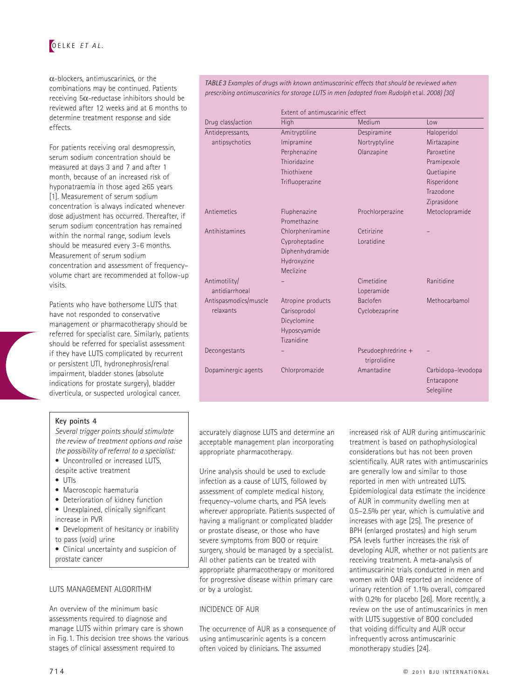

 $\alpha$ -blockers, antimuscarinics, or the combinations may be continued. Patients receiving  $5\alpha$ -reductase inhibitors should be reviewed after 12 weeks and at 6 months to determine treatment response and side effects.

 For patients receiving oral desmopressin, serum sodium concentration should be measured at days 3 and 7 and after 1 month, because of an increased risk of hyponatraemia in those aged ≥65 years [1]. Measurement of serum sodium concentration is always indicated whenever dose adjustment has occurred. Thereafter, if serum sodium concentration has remained within the normal range, sodium levels should be measured every 3-6 months. Measurement of serum sodium concentration and assessment of frequency volume chart are recommended at follow-up visits.

 Patients who have bothersome LUTS that have not responded to conservative management or pharmacotherapy should be referred for specialist care. Similarly, patients should be referred for specialist assessment if they have LUTS complicated by recurrent or persistent UTI, hydronephrosis/renal impairment, bladder stones (absolute indications for prostate surgery), bladder diverticula, or suspected urological cancer.

*Several trigger points should stimulate the review of treatment options and raise the possibility of referral to a specialist:* • Uncontrolled or increased LUTS,

• Development of hesitancy or inability

• Clinical uncertainty and suspicion of

**Key points 4** 

• UTIs

increase in PVR

prostate cancer

to pass (void) urine

despite active treatment

 • Macroscopic haematuria • Deterioration of kidney function • Unexplained, clinically significant

LUTS MANAGEMENT ALGORITHM

 An overview of the minimum basic assessments required to diagnose and manage LUTS within primary care is shown in Fig. 1. This decision tree shows the various stages of clinical assessment required to

#### *TABLE 3 Examples of drugs with known antimuscarinic effects that should be reviewed when prescribing antimuscarinics for storage LUTS in men (adapted from Rudolph* et al *. 2008) [ 30 ]*

|                       | Extent of antimuscarinic effect |                                    |                                                |  |
|-----------------------|---------------------------------|------------------------------------|------------------------------------------------|--|
| Drug class/action     | High                            | Medium                             | Low                                            |  |
| Antidepressants,      | Amitryptiline                   | Despiramine                        | Haloperidol                                    |  |
| antipsychotics        | Imipramine                      | Nortryptyline                      | Mirtazapine                                    |  |
|                       | Perphenazine                    | Olanzapine                         | Paroxetine                                     |  |
|                       | Thioridazine                    |                                    | Pramipexole                                    |  |
|                       | Thiothixene                     |                                    | Quetiapine                                     |  |
|                       | Trifluoperazine                 |                                    | Risperidone                                    |  |
|                       |                                 |                                    | Trazodone                                      |  |
|                       |                                 |                                    | Ziprasidone                                    |  |
| Antiemetics           | Fluphenazine                    | Prochlorperazine                   | Metoclopramide                                 |  |
|                       | Promethazine                    |                                    |                                                |  |
| Antihistamines        | Chlorpheniramine                | Cetirizine                         |                                                |  |
|                       | Cyproheptadine                  | Loratidine                         |                                                |  |
|                       | Diphenhydramide                 |                                    |                                                |  |
|                       | Hydroxyzine                     |                                    |                                                |  |
|                       | Meclizine                       |                                    |                                                |  |
| Antimotility/         |                                 | Cimetidine                         | Ranitidine                                     |  |
| antidiarrhoeal        |                                 | Loperamide                         |                                                |  |
| Antispasmodics/muscle | Atropine products               | Baclofen                           | Methocarbamol                                  |  |
| relaxants             | Carisoprodol                    | Cyclobezaprine                     |                                                |  |
|                       | Dicyclomine                     |                                    |                                                |  |
|                       | Hyposcyamide                    |                                    |                                                |  |
|                       | Tizanidine                      |                                    |                                                |  |
| Decongestants         |                                 | Pseudoephredrine +<br>triprolidine |                                                |  |
| Dopaminergic agents   | Chlorpromazide                  | Amantadine                         | Carbidopa-levodopa<br>Entacapone<br>Selegiline |  |

accurately diagnose LUTS and determine an acceptable management plan incorporating appropriate pharmacotherapy.

 Urine analysis should be used to exclude infection as a cause of LUTS, followed by assessment of complete medical history, frequency – volume charts, and PSA levels wherever appropriate. Patients suspected of having a malignant or complicated bladder or prostate disease, or those who have severe symptoms from BOO or require surgery, should be managed by a specialist. All other patients can be treated with appropriate pharmacotherapy or monitored for progressive disease within primary care or by a urologist.

## INCIDENCE OF AUR

 The occurrence of AUR as a consequence of using antimuscarinic agents is a concern often voiced by clinicians. The assumed

increased risk of AUR during antimuscarinic treatment is based on pathophysiological considerations but has not been proven scientifically. AUR rates with antimuscarinics are generally low and similar to those reported in men with untreated LUTS. Epidemiological data estimate the incidence of AUR in community dwelling men at 0.5-2.5% per year, which is cumulative and increases with age [25]. The presence of BPH (enlarged prostates) and high serum PSA levels further increases the risk of developing AUR, whether or not patients are receiving treatment. A meta-analysis of antimuscarinic trials conducted in men and women with OAB reported an incidence of urinary retention of 1.1% overall, compared with 0.2% for placebo [26]. More recently, a review on the use of antimuscarinics in men with LUTS suggestive of BOO concluded that voiding difficulty and AUR occur infrequently across antimuscarinic monotherapy studies [24].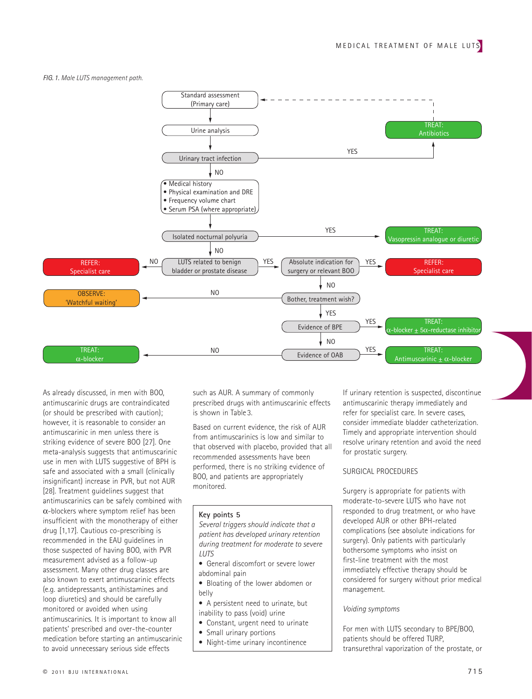*FIG. 1. Male LUTS management path.* 



 As already discussed, in men with BOO, antimuscarinic drugs are contraindicated (or should be prescribed with caution); however, it is reasonable to consider an antimuscarinic in men unless there is striking evidence of severe BOO [27]. One meta-analysis suggests that antimuscarinic use in men with LUTS suggestive of BPH is safe and associated with a small (clinically insignificant) increase in PVR, but not AUR [28]. Treatment quidelines suggest that antimuscarinics can be safely combined with  $\alpha$ -blockers where symptom relief has been insufficient with the monotherapy of either drug [1,17]. Cautious co-prescribing is recommended in the EAU guidelines in those suspected of having BOO, with PVR measurement advised as a follow-up assessment. Many other drug classes are also known to exert antimuscarinic effects (e.g. antidepressants, antihistamines and loop diuretics) and should be carefully monitored or avoided when using antimuscarinics. It is important to know all patients' prescribed and over-the-counter medication before starting an antimuscarinic to avoid unnecessary serious side effects

such as AUR. A summary of commonly prescribed drugs with antimuscarinic effects is shown in Table 3.

 Based on current evidence, the risk of AUR from antimuscarinics is low and similar to that observed with placebo, provided that all recommended assessments have been performed, there is no striking evidence of BOO, and patients are appropriately monitored.

#### **Key points 5**

*Several triggers should indicate that a patient has developed urinary retention during treatment for moderate to severe LUTS*

- General discomfort or severe lower abdominal pain
- Bloating of the lower abdomen or belly
- A persistent need to urinate, but inability to pass (void) urine
- Constant, urgent need to urinate
- Small urinary portions
- Night-time urinary incontinence

 If urinary retention is suspected, discontinue antimuscarinic therapy immediately and refer for specialist care. In severe cases, consider immediate bladder catheterization. Timely and appropriate intervention should resolve urinary retention and avoid the need for prostatic surgery.

#### SURGICAL PROCEDURES

 Surgery is appropriate for patients with moderate-to-severe LUTS who have not responded to drug treatment, or who have developed AUR or other BPH-related complications (see absolute indications for surgery). Only patients with particularly bothersome symptoms who insist on first-line treatment with the most immediately effective therapy should be considered for surgery without prior medical management.

#### *Voiding symptoms*

 For men with LUTS secondary to BPE/BOO, patients should be offered TURP, transurethral vaporization of the prostate, or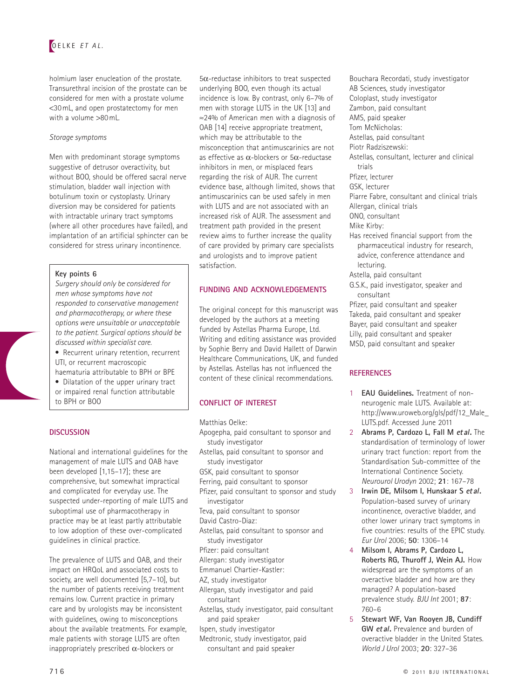holmium laser enucleation of the prostate. Transurethral incision of the prostate can be considered for men with a prostate volume < 30 mL, and open prostatectomy for men with a volume  $> 80$  mL.

#### *Storage symptoms*

 Men with predominant storage symptoms suggestive of detrusor overactivity, but without BOO, should be offered sacral nerve stimulation, bladder wall injection with botulinum toxin or cystoplasty. Urinary diversion may be considered for patients with intractable urinary tract symptoms (where all other procedures have failed), and implantation of an artificial sphincter can be considered for stress urinary incontinence.

#### **Key points 6**

*Surgery should only be considered for men whose symptoms have not responded to conservative management and pharmacotherapy, or where these options were unsuitable or unacceptable to the patient. Surgical options should be discussed within specialist care.*

 • Recurrent urinary retention, recurrent UTI, or recurrent macroscopic haematuria attributable to BPH or BPE

 • Dilatation of the upper urinary tract or impaired renal function attributable to BPH or BOO

## **DISCUSSION**

 National and international guidelines for the management of male LUTS and OAB have been developed [1,15-17]; these are comprehensive, but somewhat impractical and complicated for everyday use. The suspected under-reporting of male LUTS and suboptimal use of pharmacotherapy in practice may be at least partly attributable to low adoption of these over-complicated guidelines in clinical practice.

 The prevalence of LUTS and OAB, and their impact on HRQoL and associated costs to society, are well documented  $[5,7-10]$ , but the number of patients receiving treatment remains low. Current practice in primary care and by urologists may be inconsistent with guidelines, owing to misconceptions about the available treatments. For example, male patients with storage LUTS are often inappropriately prescribed  $\alpha$ -blockers or

 $5\alpha$ -reductase inhibitors to treat suspected underlying BOO, even though its actual incidence is low. By contrast, only 6-7% of men with storage LUTS in the UK [13] and ≈ 24% of American men with a diagnosis of OAB [14] receive appropriate treatment, which may be attributable to the misconception that antimuscarinics are not as effective as  $\alpha$ -blockers or 5 $\alpha$ -reductase inhibitors in men, or misplaced fears regarding the risk of AUR. The current evidence base, although limited, shows that antimuscarinics can be used safely in men with LUTS and are not associated with an increased risk of AUR. The assessment and treatment path provided in the present review aims to further increase the quality of care provided by primary care specialists and urologists and to improve patient satisfaction.

## **FUNDING AND ACKNOWLEDGEMENTS**

 The original concept for this manuscript was developed by the authors at a meeting funded by Astellas Pharma Europe, Ltd. Writing and editing assistance was provided by Sophie Berry and David Hallett of Darwin Healthcare Communications, UK, and funded by Astellas. Astellas has not influenced the content of these clinical recommendations.

## **CONFLICT OF INTEREST**

Matthias Oelke:

- Apogepha, paid consultant to sponsor and study investigator
- Astellas, paid consultant to sponsor and study investigator
- GSK, paid consultant to sponsor
- Ferring, paid consultant to sponsor
- Pfizer, paid consultant to sponsor and study
- investigator
- Teva, paid consultant to sponsor
- David Castro-Diaz:
- Astellas, paid consultant to sponsor and study investigator
- Pfizer: paid consultant
- Allergan: study investigator
- Emmanuel Chartier-Kastler:
- AZ, study investigator
- Allergan, study investigator and paid consultant
- Astellas, study investigator, paid consultant and paid speaker
- Ispen, study investigator
- Medtronic, study investigator, paid consultant and paid speaker

 Bouchara Recordati, study investigator AB Sciences, study investigator Coloplast, study investigator Zambon, paid consultant AMS, paid speaker Tom McNicholas: Astellas, paid consultant Piotr Radziszewski: Astellas, consultant, lecturer and clinical trials Pfizer, lecturer GSK, lecturer Piarre Fabre, consultant and clinical trials Allergan, clinical trials ONO, consultant Mike Kirby: Has received financial support from the pharmaceutical industry for research, advice, conference attendance and lecturing. Astella, paid consultant G.S.K., paid investigator, speaker and consultant Pfizer, paid consultant and speaker Takeda, paid consultant and speaker Bayer, paid consultant and speaker Lilly, paid consultant and speaker

MSD, paid consultant and speaker

## **REFERENCES**

- 1 **EAU Guidelines.** Treatment of nonneurogenic male LUTS. Available at: http://www.uroweb.org/gls/pdf/12\_Male\_ LUTS.pdf. Accessed June 2011
- 2 **Abrams P, Cardozo L, Fall M** *et al***.** The standardisation of terminology of lower urinary tract function: report from the Standardisation Sub-committee of the International Continence Society. *Neurourol Urodyn* 2002 ; **21** : 167 – 78
- 3 **Irwin DE, Milsom I, Hunskaar S** *et al***.**  Population-based survey of urinary incontinence, overactive bladder, and other lower urinary tract symptoms in five countries: results of the EPIC study. *Eur Urol* 2006 ; **50** : 1306 – 14
- 4 **Milsom I, Abrams P, Cardozo L, Roberts RG, Thuroff J, Wein AJ.** How widespread are the symptoms of an overactive bladder and how are they managed? A population-based prevalence study. *BJU Int* 2001; 87: 760 – 6
- 5 **Stewart WF, Van Rooyen JB, Cundiff GW** *et al***.** Prevalence and burden of overactive bladder in the United States. *World J Urol* 2003 ; **20** : 327 – 36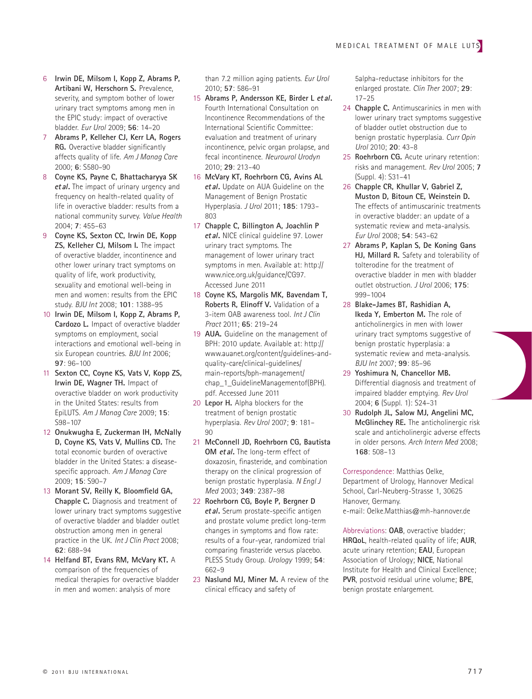- 6 **Irwin DE, Milsom I, Kopp Z, Abrams P, Artibani W, Herschorn S.** Prevalence, severity, and symptom bother of lower urinary tract symptoms among men in the EPIC study: impact of overactive bladder . *Eur Urol* 2009 ; **56** : 14 – 20
- 7 **Abrams P, Kelleher CJ, Kerr LA, Rogers RG.** Overactive bladder significantly affects quality of life . *Am J Manag Care* 2000 ; **6** : S580 – 90
- 8 **Coyne KS, Payne C, Bhattacharyya SK** *et al***.** The impact of urinary urgency and frequency on health-related quality of life in overactive bladder: results from a national community survey . *Value Health*  $2004 \cdot 7 \cdot 455 - 63$
- 9 **Coyne KS, Sexton CC, Irwin DE, Kopp ZS, Kelleher CJ, Milsom I.** The impact of overactive bladder, incontinence and other lower urinary tract symptoms on quality of life, work productivity, sexuality and emotional well-being in men and women: results from the EPIC study . *BJU Int* 2008 ; **101** : 1388 – 95
- 10 **Irwin DE, Milsom I, Kopp Z, Abrams P, Cardozo L.** Impact of overactive bladder symptoms on employment, social interactions and emotional well-being in six European countries. *BJU Int* 2006; **97** : 96 – 100
- 11 **Sexton CC, Coyne KS, Vats V, Kopp ZS, Irwin DE, Wagner TH.** Impact of overactive bladder on work productivity in the United States: results from EpiLUTS . *Am J Manag Care* 2009 ; **15** : S98-107
- 12 **Onukwugha E, Zuckerman IH, McNally D, Coyne KS, Vats V, Mullins CD.** The total economic burden of overactive bladder in the United States: a diseasespecific approach. Am J Manag Care 2009 ; **15** : S90 – 7
- 13 Morant SV, Reilly K, Bloomfield GA, **Chapple C.** Diagnosis and treatment of lower urinary tract symptoms suggestive of overactive bladder and bladder outlet obstruction among men in general practice in the UK. Int J Clin Pract 2008; **62** : 688 – 94
- 14 **Helfand BT, Evans RM, McVary KT.** A comparison of the frequencies of medical therapies for overactive bladder in men and women: analysis of more

than 7.2 million aging patients . *Eur Urol* 2010 ; **57** : 586 – 91

- 15 **Abrams P, Andersson KE, Birder L** *et al***.**  Fourth International Consultation on Incontinence Recommendations of the International Scientific Committee: evaluation and treatment of urinary incontinence, pelvic organ prolapse, and fecal incontinence . *Neurourol Urodyn* 2010 ; **29** : 213 – 40
- 16 **McVary KT, Roehrborn CG, Avins AL** *et al***.** Update on AUA Guideline on the Management of Benign Prostatic Hyperplasia . *J Urol* 2011 ; **185** : 1793 – 803
- 17 **Chapple C, Billington A, Joachlin P** *et al***.** NICE clinical guideline 97. Lower urinary tract symptoms. The management of lower urinary tract symptoms in men . Available at: http:// www.nice.org.uk/guidance/CG97. Accessed June 2011
- 18 **Coyne KS, Margolis MK, Bavendam T, Roberts R, Elinoff V.** Validation of a 3-item OAB awareness tool . *Int J Clin Pract* 2011 ; **65** : 219 – 24
- 19 **AUA.** Guideline on the management of BPH: 2010 update. Available at: http:// www.auanet.org/content/guidelines-andquality-care/clinical-guidelines/ main-reports/bph-management/ chap\_1\_GuidelineManagementof(BPH). pdf. Accessed June 2011
- 20 **Lepor H.** Alpha blockers for the treatment of benign prostatic hyperplasia . *Rev Urol* 2007 ; **9** : 181 – 90
- 21 **McConnell JD, Roehrborn CG, Bautista OM** *et al***.** The long-term effect of doxazosin, finasteride, and combination therapy on the clinical progression of benign prostatic hyperplasia . *N Engl J Med* 2003 ; **349** : 2387 – 98
- 22 **Roehrborn CG, Boyle P, Bergner D** *et al*. Serum prostate-specific antigen and prostate volume predict long-term changes in symptoms and flow rate: results of a four-year, randomized trial comparing finasteride versus placebo. PLESS Study Group. *Urology* 1999; 54: 662 – 9
- 23 **Naslund MJ, Miner M.** A review of the clinical efficacy and safety of

5alpha-reductase inhibitors for the enlarged prostate. *Clin Ther* 2007; 29:  $17 - 25$ 

- 24 **Chapple C.** Antimuscarinics in men with lower urinary tract symptoms suggestive of bladder outlet obstruction due to benign prostatic hyperplasia . *Curr Opin Urol* 2010 ; **20** : 43 – 8
- 25 **Roehrborn CG.** Acute urinary retention: risks and management . *Rev Urol* 2005 ; **7** (Suppl. 4): S31-41
- 26 **Chapple CR, Khullar V, Gabriel Z, Muston D, Bitoun CE, Weinstein D.**  The effects of antimuscarinic treatments in overactive bladder: an update of a systematic review and meta-analysis. *Eur Urol* 2008 ; **54** : 543 – 62
- 27 **Abrams P, Kaplan S, De Koning Gans HJ, Millard R.** Safety and tolerability of tolterodine for the treatment of overactive bladder in men with bladder outlet obstruction . *J Urol* 2006 ; **175** : 999 – 1004
- 28 **Blake-James BT, Rashidian A, Ikeda Y, Emberton M.** The role of anticholinergics in men with lower urinary tract symptoms suggestive of benign prostatic hyperplasia: a systematic review and meta-analysis. *BJU Int* 2007 ; **99** : 85 – 96
- 29 **Yoshimura N, Chancellor MB.**  Differential diagnosis and treatment of impaired bladder emptying. Rev Urol 2004; **6** (Suppl. 1): S24-31
- 30 **Rudolph JL, Salow MJ, Angelini MC, McGlinchey RE.** The anticholinergic risk scale and anticholinergic adverse effects in older persons. Arch Intern Med 2008; **168** : 508 – 13

Correspondence: Matthias Oelke, Department of Urology, Hannover Medical School, Carl-Neuberg-Strasse 1, 30625 Hanover, Germany. e-mail: Oelke.Matthias@mh-hannover.de

Abbreviations: OAB, overactive bladder; **HRQoL**, health-related quality of life; **AUR**, acute urinary retention; **EAU**, European Association of Urology; NICE, National Institute for Health and Clinical Excellence ; **PVR**, postvoid residual urine volume; **BPE**, benign prostate enlargement.